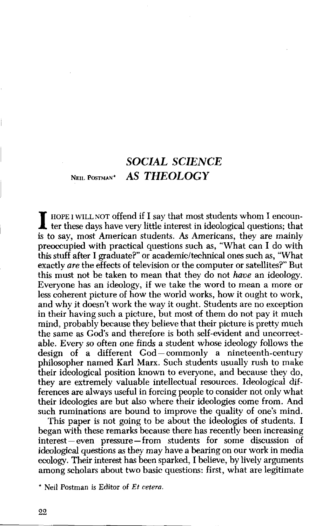## NEIL POSTMAN<sup>\*</sup> SOCIAL SCIENCE AS THEOLOGY

Let these days have very little interest in ideological questions; that  $\blacksquare$  HOPE I WILL NOT offend if I say that most students whom I encounis to say, most American students. As Americans, they are mainly preoccupied with practical questions such as, "What can I do with this stuff after I graduate?" or academic/technical ones such as, "What exactly *are* the effects of television or the computer or satellites?" But this must not be taken to mean that they do not *have* an ideology. Everyone has an ideology, if we take the word to mean a more or less coherent picture of how the world works, how it ought to work, and why it doesn't work the way it ought. Students are no exception in their having such a picture, but most of them do not pay it much mind, probably because they believe that their picture is pretty much the same as God's and therefore is both self-evident and uncorrectable. Every so often one finds a student whose ideology follows the design of a different  $God$ -commonly a nineteenth-century philosopher named Karl Marx . Such students usually rush to make their ideological position known to everyone, and because they do, they are extremely valuable intellectual resources. Ideological differences are always useful in forcing people to consider not only what their ideologies are but also where their ideologies come from . And such ruminations are bound to improve the quality of one's mind.

This paper is not going to be about the ideologies of students. I began with these remarks because there has recently been increasing interest-even pressure-from students for some discussion of ideological questions as they may have a bearing on our work in media ecology. Their interest has been sparked, I believe, by lively arguments among scholars about two basic questions: first, what are legitimate

<sup>\*</sup> Neil Postman is Editor of Et cetera .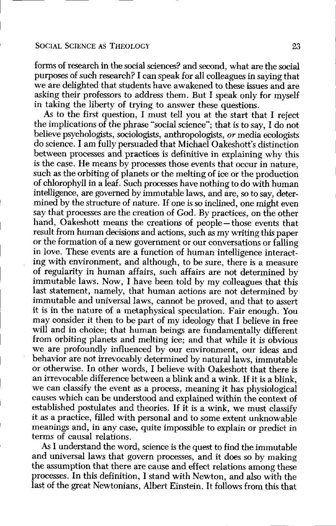## SOCIAL SCIENCE AS THEOLOGY 23

forms of research in the social sciences? and second, what are the social purposes of such research? I can speak for all colleagues in saying that we are delighted that students have awakened to these issues and are asking their professors to address them, But I speak only for myself in taking the liberty of trying to answer these questions.

As to the first question, I must tell you at the start that I reject the implications of the phrase "social science"; that is to say, I do not believe psychologists, sociologists, anthropologists, or media ecologists do science . I am fully persuaded that Michael Oakeshott's distinction between processes and practices is definitive in explaining why this is the case. He means by processes those events that occur in nature, such as the orbiting of planets or the melting of ice or the production of chlorophyll in a leaf . Such processes have nothing to do with human intelligence, are governed by immutable laws, and are, so to say, determined by the structure of nature. If one is so inclined, one might even say that processes are the creation of God. By practices, on the other hand, Oakeshott means the creations of people - those events that result from human decisions and actions, such as my writing this paper or the formation of a new government or our conversations or falling in love, These events are a function of human intelligence interacting with environment, and although, to be sure, there is a measure of regularity in human affairs, such affairs are not determined by immutable laws. Now, I have been told by my colleagues that this last statement, namely, that human actions are not determined by immutable and universal laws, cannot be proved, and that to assert it is in the nature of a metaphysical speculation. Fair enough. You may consider it then to be part of my ideology that I believe in free will and in choice; that human beings are fundamentally different from orbiting planets and melting ice; and that while it is obvious we are profoundly influenced by our environment, our ideas and behavior are not irrevocably determined by natural laws, immutable or otherwise. In other words, I believe with Oakeshott that there is an irrevocable difference between a blink and a wink . If it is a blink, we can classify the event as a process, meaning it has physiological causes which can be understood and explained within the context of established postulates and theories. If it is a wink, we must classify it as a practice, filled with personal and to some extent unknowable meanings and, in any case, quite impossible to explain or predict in terms of causal relations .

As I understand the word, science is the quest to find the immutable and universal laws that govern processes, and it does so by making the assumption that there are cause and effect relations among these processes . In this definition, I stand with Newton, and also with the last of the great Newtonians, Albert Einstein . It follows from this that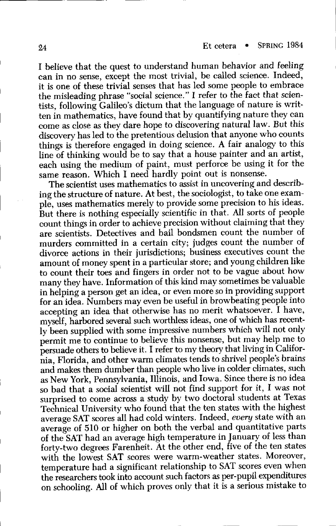I believe that the quest to understand human behavior and feeling can in no sense, except the most trivial, be called science. Indeed, it is one of these trivial senses that has led some people to embrace the misleading phrase "social science." I refer to the fact that scientists, following Galileo's dictum that the language of nature is written in mathematics, have found that by quantifying nature they can come as close as they dare hope to discovering natural law . But this discovery has led to the pretentious delusion that anyone who counts things is therefore engaged in doing science . A fair analogy to this line of thinking would be to say that a house painter and an artist, each using the medium of paint, must perforce be using it for the same reason. Which I need hardly point out is nonsense.

The scientist uses mathematics to assist in uncovering and describing the structure of nature. At best, the sociologist, to take one example, uses mathematics merely to provide some precision to his ideas. But there is nothing especially scientific in that . All sorts of people count things in order to achieve precision without claiming that they are scientists. Detectives and bail bondsmen count the number of murders committed in a certain city; judges count the number of divorce actions in their jurisdictions; business executives count the amount of money spent in a particular store; and young children like to count their toes and fingers in order not to be vague about how many they have. Information of this kind may sometimes be valuable in helping a person get an idea, or even more so in providing support for an idea. Numbers may even be useful in browbeating people into accepting an idea that otherwise has no merit whatsoever . I have, myself, harbored several such worthless ideas, one of which has recently been supplied with some impressive numbers which will not only permit me to continue to believe this nonsense, but may help me to persuade others to believe it . I refer to my theory that living in California, Florida, and other warm climates tends to shrivel people's brains and makes them dumber than people who live in colder climates, such as New York, Pennsylvania, Illinois, and Iowa . Since there is no idea so bad that a social scientist will not find support for it, I was not surprised to come across a study by two doctoral students at Texas Technical University who found that the ten states with the highest average SAT scores all had cold winters. Indeed, every state with an average of 510 or higher on both the verbal and quantitative parts of the SAT had an average high temperature in January of less than forty-two degrees Farenheit. At the other end, five of the ten states with the lowest SAT scores were warm-weather states. Moreover, temperature had a significant relationship to SAT scores even when the researchers took into account such factors as per-pupil expenditures on schooling . All of which proves only that it is a serious mistake to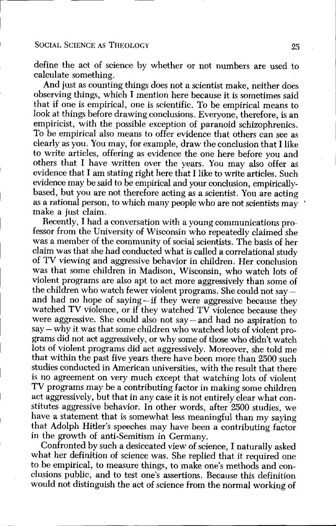define the act of science by whether or not numbers are used to calculate something .

And just as counting things does not a scientist make, neither does observing things, which I mention here because it is sometimes said that if one is empirical, one is scientific . To be empirical means to look at things before drawing conclusions. Everyone, therefore, is an empiricist, with the possible exception of paranoid schizophrenics . To be empirical also means to offer evidence that others can see as clearly as you . You may, for example, draw the conclusion that I like to write articles, offering as evidence the one here before you and others that I have written over the years. You may also offer as evidence that I am stating right here that I like to write articles. Such evidence may be said to be empirical and your conclusion, empiricallybased, but you are not therefore acting as a scientist. You are acting as a rational person, to which many people who are not scientists may make a just claim.

Recently, I had a conversation with a young communications professor from the University of Wisconsin who repeatedly claimed she was a member of the community of social scientists . The basis of her claim was that she had conducted what is called a correlational study of TV viewing and aggressive behavior in children . Her conclusion was that some children in Madison, Wisconsin, who watch lots of violent programs are also apt to act more aggressively than some of the children who watch fewer violent programs. She could not say  $$ and had no hope of saying-if they were aggressive because they watched TV violence, or if they watched TV violence because they were aggressive. She could also not say-and had no aspiration to  $say - why$  it was that some children who watched lots of violent programs did not act aggressively, or why some of those who didn't watch lots of violent programs did act aggressively. Moreover, she told me that within the past five years there have been more than 2500 such studies conducted in American universities, with the result that there is no agreement on very much except that watching lots of violent TV programs may be a contributing factor in making some children act aggressively, but that in any case it is not entirely clear what constitutes aggressive behavior. In other words, after 2500 studies, we have a statement that is somewhat less meaningful than my saying that Adolph Hitler's speeches may have been a contributing factor in the growth of anti-Semitism in Germany.

Confronted by such a desiccated view of science, I naturally asked what her definition of science was . She replied that it required one to be empirical, to measure things, to make one's methods and conclusions public, and to test one's assertions . Because this definition would not distinguish the act of science from the normal working of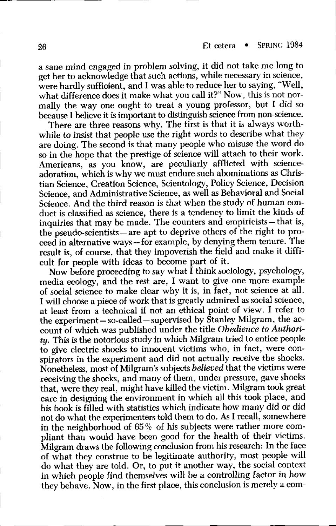a sane mind engaged in problem solving, it did not take me long to get her to acknowledge that such actions, while necessary in science, were hardly sufficient, and I was able to reduce her to saying, "Well, what difference does it make what you call it?" Now, this is not normally the way one ought to treat a young professor, but I did so because I believe it is important to distinguish science from non-science .

There are three reasons why. The first is that it is always worthwhile to insist that people use the right words to describe what they are doing. The second is that many people who misuse the word do so in the hope that the prestige of science will attach to their work . Americans, as you know, are peculiarly afflicted with scienceadoration, which is why we must endure such abominations as Christian Science, Creation Science, Scientology, Policy Science, Decision Science, and Administrative Science, as well as Behavioral and Social Science. And the third reason is that when the study of human conduct is classified as science, there is a tendency to limit the kinds of inquiries that may be made. The counters and empiricists-that is, the pseudo-scientists – are apt to deprive others of the right to pro $ceed$  in alternative ways - for example, by denying them tenure. The result is, of course, that they impoverish the field and make it difficult for people with ideas to become part of it.

Now before proceeding to say what I think sociology, psychology, media ecology, and the rest are, I want to give one more example of social science to make clear why it is, in fact, not science at all. I will choose a piece of work that is greatly admired as social science, at least from a technical if not an ethical point of view . I refer to the experiment - so-called - supervised by Stanley Milgram, the account of which was published under the title Obedience to Authori $ty.$  This is the notorious study in which Milgram tried to entice people to give electric shocks to innocent victims who, in fact, were conspirators in the experiment and did not actually receive the shocks . Nonetheless, most of Milgram's subjects believed that the victims were receiving the shocks, and many of them, under pressure, gave shocks that, were they real, might have killed the victim . Milgram took great care in designing the environment in which all this took place, and his book is filled with statistics which indicate how many did or did not do what the experimenters told them to do . As I recall, somewhere in the neighborhood of 65 % of his subjects were rather more compliant than would have been good for the health of their victims. Milgram draws the following conclusion from his research: In the face of what they construe to be legitimate authority, most people will do what they are told. Or, to put it another way, the social context in which people find themselves will be a controlling factor in how they behave. Now, in the first place, this conclusion is merely a com-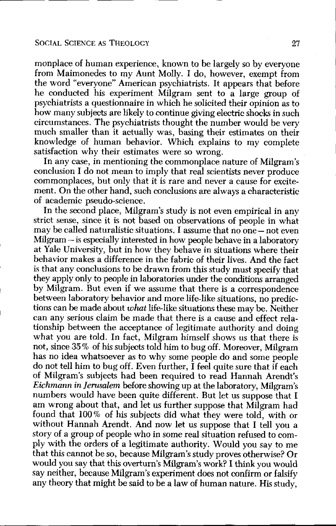monplace of human experience, known to be largely so by everyone from Maimonedes to my Aunt Molly . I do, however, exempt from the word "everyone" American psychiatrists . It appears that before he conducted his experiment Milgram sent to a large group of psychiatrists a questionnaire in which he solicited their opinion as to how many subjects are likely to continue giving electric shocks in such circumstances . The psychiatrists thought the number would be very much smaller than it actually was, basing their estimates on their knowledge of human behavior. Which explains to my complete satisfaction why their estimates were so wrong .

In any case, in mentioning the commonplace nature of Milgram's conclusion I do not mean to imply that real scientists never produce commonplaces, but only that it is rare and never a cause for excitement. On the other hand, such conclusions are always a characteristic of academic pseudo-science.

In the second place, Milgram's study is not even empirical in any strict sense, since it is not based on observations of people in what may be called naturalistic situations. I assume that no one  $-$  not even Milgram - is especially interested in how people behave in a laboratory at Yale University, but in how they behave in situations where their behavior makes a difference in the fabric of their lives . And the fact is that any conclusions to be drawn from this study must specify that they apply only to people in laboratories under the conditions arranged by Milgram. But even if we assume that there is a correspondence between laboratory behavior and more life-like situations, no predictions can be made about what life-like situations these may be . Neither can any serious claim be made that there is a cause and effect relationship between the acceptance of legitimate authority and doing what you are told. In fact, Milgram himself shows us that there is not, since 35 % of his subjects told him to bug off . Moreover, Milgram has no idea whatsoever as to why some people do and some people do not tell him to bug off. Even further, I feel quite sure that if each of Milgram's subjects had been required to read Hannah Arendt's Eichmann in Jerusalem before showing up at the laboratory, Milgram's numbers would have been quite different. But let us suppose that I am wrong about that, and let us further suppose that Milgram had found that 100 % of his subjects did what they were told, with or without Hannah Arendt, And now let us suppose that I tell you a story of a group of people who in some real situation refused to comply with the orders of a legitimate authority . Would you say to me that this cannot be so, because Milgram's study proves otherwise? Or would you say that this overturn's Milgram's work? I think you would say neither, because Milgram's experiment does not confirm or falsify any theory that might be said to be a law of human nature. His study,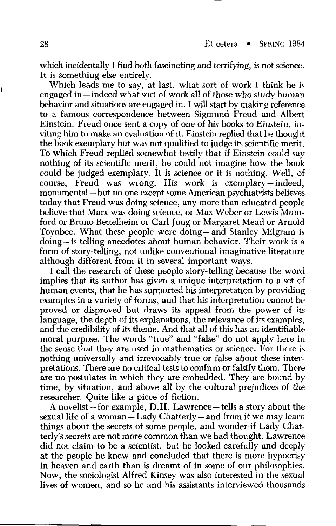which incidentally I find both fascinating and terrifying, is not science. It is something else entirely.

Which leads me to say, at last, what sort of work I think he is engaged in - indeed what sort of work all of those who study human behavior and situations are engaged in . I will start by making reference to a famous correspondence between Sigmund Freud and Albert Einstein . Freud once sent a copy of one of his books to Einstein, inviting him to make an evaluation of it . Einstein replied that he thought the book exemplary but was not qualified to judge its scientific merit . To which Freud replied somewhat testily that if Einstein could say nothing of its scientific merit, he could not imagine how the book could be judged exemplary . It is science or it is nothing . Well, of course, Freud was wrong. His work is exemplary-indeed, monumental -but no one except some American psychiatrists believes today that Freud was doing science, any more than educated people believe that Marx was doing science, or Max Weber or Lewis Mumford or Bruno Bettelheim or Carl Jung or Margaret Mead or Arnold Toynbee. What these people were doing- and Stanley Milgram is doing - is telling anecdotes about human behavior. Their work is a form of story-telling, not unlike conventional imaginative literature although different from it in several important ways.

I call the research of these people story-telling because the word implies that its author has given a unique interpretation to a set of human events, that he has supported his interpretation by providing examples in a variety of forms, and that his interpretation cannot be proved or disproved but draws its appeal from the power of its language, the depth of its explanations, the relevance of its examples, and the credibility of its theme . And that all of this has an identifiable moral purpose. The words "true" and "false" do not apply here in the sense that they are used in mathematics or science. For there is nothing universally and irrevocably true or false about these interpretations. There are no critical tests to confirm or falsify them . There are no postulates in which they are embedded. They are bound by time, by situation, and above all by the cultural prejudices of the researcher. Quite like a piece of fiction.

A novelist-for example, D.H. Lawrence-tells a story about the sexual life of a woman  $-Lady$  Chatterly  $-\text{and}$  from it we may learn things about the secrets of some people, and wonder if Lady Chatterly's secrets are not more common than we had thought . Lawrence did not claim to be a scientist, but he looked carefully and deeply at the people he knew and concluded that there is more hypocrisy in heaven and earth than is dreamt of in some of our philosophies. Now, the sociologist Alfred Kinsey was also interested in the sexual lives of women, and so he and his assistants interviewed thousands

a<br>1970 - Jan Barton, amerikan<br>1970 - Jan Barton, amerikan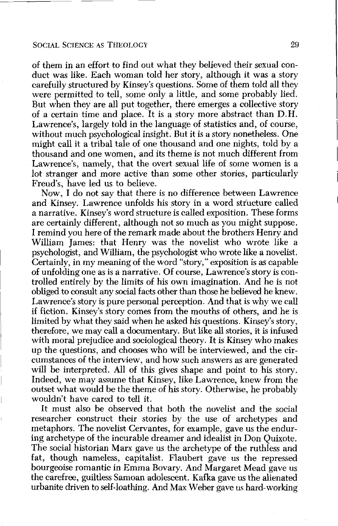## SOCIAL SCIENCE AS THEOLOGY

 

of them in an effort to find out what they believed their sexual conduct was like . Each woman told her story, although it was a story carefully structured by Kinsey's questions . Some of them told all they were permitted to tell, some only a little, and some probably lied. But when they are all put together, there emerges a collective story of a certain time and place. It is a story more abstract than D.H. Lawrence's, largely told in the language of statistics and, of course, without much psychological insight. But it is a story nonetheless. One might call it a tribal tale of one thousand and one nights, told by a thousand and one women, and its theme is not much different from Lawrence's, namely, that the overt sexual life of some women is a lot stranger and more active than some other stories, particularly Freud's, have led us to believe.

Now, I do not say that there is no difference between Lawrence and Kinsey. Lawrence unfolds his story in a word structure called a narrative. Kinsey's word structure is called exposition. These forms are certainly different, although not so much as you might suppose . I remind you here of the remark made about the brothers Henry and William James: that Henry was the novelist who wrote like a psychologist, and William, the psychologist who wrote like a novelist . Certainly, in my meaning of the word "story," exposition is as capable of unfolding one as is a narrative . Of course, Lawrence's story is controlled entirely by the limits of his own imagination . And he is not obliged to consult any social facts other than those he believed he knew . Lawrence's story is pure personal perception . And that is why we call if fiction. Kinsey's story comes from the mouths of others, and he is limited by what they said when he asked his questions. Kinsey's story, therefore, we may call a documentary . But like all stories, it is infused with moral prejudice and sociological theory. It is Kinsey who makes up the questions, and chooses who will be interviewed, and the circumstances of the interview, and how such answers as are generated will be interpreted. All of this gives shape and point to his story. Indeed, we may assume that Kinsey, like Lawrence, knew from the outset what would be the theme of his story . Otherwise, he probably wouldn't have cared to tell it.

It must also be observed that both the novelist and the social researcher construct their stories by the use of archetypes and metaphors. The novelist Cervantes, for example, gave us the enduring archetype of the incurable dreamer and idealist in Don Ouixote. The social historian Marx gave us the archetype of the ruthless and fat, though nameless, capitalist. Flaubert gave us the repressed bourgeoise romantic in Emma Bovary . And Margaret Mead gave us the carefree, guiltless Samoan adolescent. Kafka gave us the alienated urbanite driven to self-loathing . And Max Weber gave us hard-working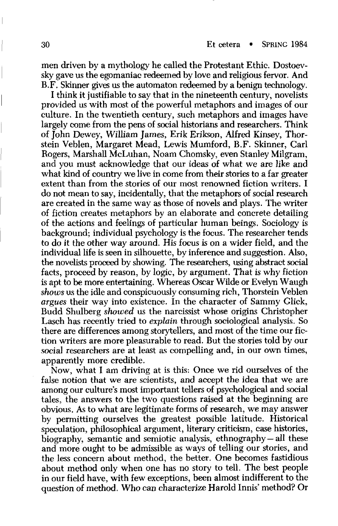men driven by a mythology he called the Protestant Ethic. Dostoevsky gave us the egomaniac redeemed by love and religious fervor . And B.F. Skinner gives us the automaton redeemed by a benign technology .

I think it justifiable to say that in the nineteenth century, novelists provided us with most of the powerful metaphors and images of our culture. In the twentieth century, such metaphors and images have largely come from the pens of social historians and researchers. Think of John Dewey, William James, Erik Erikson, Alfred Kinsey, Thorstein Veblen, Margaret Mead, Lewis Mumford, B .F. Skinner, Carl Rogers, Marshall McLuhan, Noam Chomsky, even Stanley Milgram, and you must acknowledge that our ideas of what we are like and what kind of country we live in come from their stories to a far greater extent than from the stories of our most renowned fiction writers. I do not mean to say, incidentally, that the metaphors of social research are created in the same way as those of novels and plays . The writer of fiction creates metaphors by an elaborate and concrete detailing of the actions and feelings of particular human beings. Sociology is background; individual psychology is the focus. The researcher tends to do it the other way around. His focus is on a wider field, and the individual life is seen in silhouette, by inference and suggestion . Also, the novelists proceed by showing . The researchers, using abstract social facts, proceed by reason, by logic, by argument. That is why fiction is apt to be more entertaining. Whereas Oscar Wilde or Evelyn Waugh shows us the idle and conspicuously consuming rich, Thorstein Veblen argues their way into existence . In the character of Sammy Glick, Budd Shulberg showed us the narcissist whose origins Christopher Lasch has recently tried to *explain* through sociological analysis. So there are differences among storytellers, and most of the time our fiction writers are more pleasurable to read. But the stories told by our social researchers are at least as compelling and, in our own times, apparently more credible.

Now, what I am driving at is this : Once we rid ourselves of the false notion that we are scientists, and accept the idea that we are among our culture's most important tellers of psychological and social tales, the answers to the two questions raised at the beginning are obvious . As to what are legitimate forms of research, we may answer by permitting ourselves the greatest possible latitude. Historical speculation, philosophical argument, literary criticism, case histories, biography, semantic and semiotic analysis, ethnography-all these and more ought to be admissible as ways of telling our stories, and the less concern about method, the better . One becomes fastidious about method only when one has no story to tell. The best people in our field have, with few exceptions, been almost indifferent to the question of method . Who can characterize Harold Innis' method? Or

 $\mathbf{r}$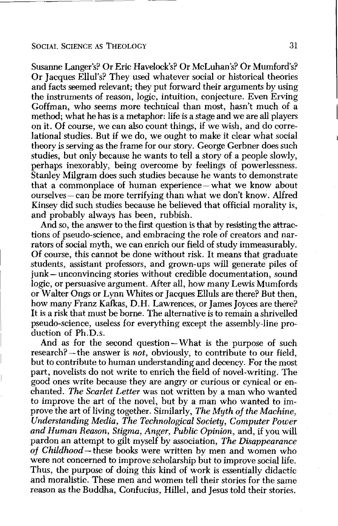## SOCIAL SCIENCE As THEOLOGY SOCIAL SCIEN

Susanne Langer's? Or Eric Havelock's? Or McLuhan's? Or Mumford's? Or Jacques Ellul's? They used whatever social or historical theories and facts seemed relevant; they put forward their arguments by using the instruments of reason, logic, intuition, conjecture. Even Erving Goffman, who seems more technical than most, hasn't much of a method; what he has is a metaphor: life is a stage and we are all players on it . Of course, we can also count things, if we wish, and do correlational studies. But if we do, we ought to make it clear what social theory is serving as the frame for our story. George Gerbner does such studies, but only because he wants to tell a story of a people slowly, perhaps inexorably, being overcome by feelings of powerlessness . Stanley Milgram does such studies because he wants to demonstrate that a commonplace of human experience - what we know about ourselves – can be more terrifying than what we don't know. Alfred Kinsey did such studies because he believed that official morality is, and probably always has been, rubbish.

And so, the answer to the first question is that by resisting the attractions of pseudo-science, and embracing the role of creators and narrators of social myth, we can enrich our field of study immeasurably . Of course, this cannot be done without risk . It means that graduate students, assistant professors, and grown-ups will generate piles of junk--unconvincing stories without credible documentation, sound logic, or persuasive argument. After all, how many Lewis Mumfords or Walter Ongs or Lynn Whites or Jacques Elluls are there? But then, how many Franz Kafkas, D.H. Lawrences, or James Joyces are there? It is a risk that must be borne. The alternative is to remain a shrivelled pseudo-science, useless for everything except the assembly-line production of Ph.D.s.

And as for the second question-What is the purpose of such research? – the answer is *not*, obviously, to contribute to our field, but to contribute to human understanding and decency . For the most part, novelists do not write to enrich the field of novel-writing . The good ones write because they are angry or curious or cynical or enchanted. The Scarlet Letter was not written by a man who wanted to improve the art of the novel, but by a man who wanted to improve the art of living together. Similarly, The Myth of the Machine, Understanding Media, The Technological Society, Computer Power and Human Reason, Stigma, Anger, Public Opinion, and, if you will pardon an attempt to gilt myself by association, The Disappearance of Childhood-these books were written by men and women who were not concerned to improve scholarship but to improve social life . Thus, the purpose of doing this kind of work is essentially didactic and moralistic . These men and women tell their stories for the same reason as the Buddha, Confucius, Hillel, and Jesus told their stories .